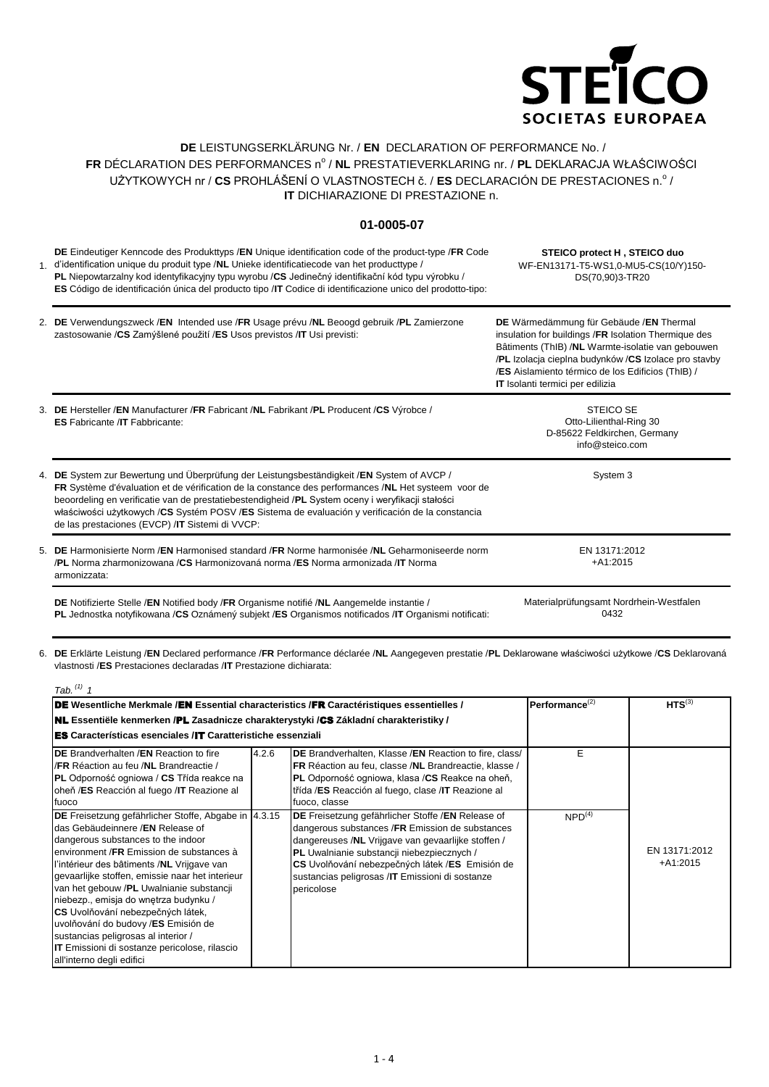

## **DE** LEISTUNGSERKLÄRUNG Nr. / **EN** DECLARATION OF PERFORMANCE No. / FR DÉCLARATION DES PERFORMANCES nº / **NL** PRESTATIEVERKLARING nr. / **PL** DEKLARACJA WŁAŚCIWOŚCI UŻYTKOWYCH nr / CS PROHLÁŠENÍ O VLASTNOSTECH č. / ES DECLARACIÓN DE PRESTACIONES n.º / **IT** DICHIARAZIONE DI PRESTAZIONE n.

## **01-0005-07**

1. d'identification unique du produit type /**NL** Unieke identificatiecode van het producttype / **DE** Eindeutiger Kenncode des Produkttyps /**EN** Unique identification code of the product-type /**FR** Code **PL** Niepowtarzalny kod identyfikacyjny typu wyrobu /**CS** Jedinečný identifikační kód typu výrobku / **ES** Código de identificación única del producto tipo /**IT** Codice di identificazione unico del prodotto-tipo: **STEICO protect H , STEICO duo** WF-EN13171-T5-WS1,0-MU5-CS(10/Y)150- DS(70,90)3-TR20

2. **DE** Verwendungszweck /**EN** Intended use /**FR** Usage prévu /**NL** Beoogd gebruik /**PL** Zamierzone zastosowanie /**CS** Zamýšlené použití /**ES** Usos previstos /**IT** Usi previsti: **DE** Wärmedämmung für Gebäude /**EN** Thermal insulation for buildings /**FR** Isolation Thermique des Bâtiments (ThIB) /**NL** Warmte-isolatie van gebouwen

3. **DE** Hersteller /**EN** Manufacturer /**FR** Fabricant /**NL** Fabrikant /**PL** Producent /**CS** Výrobce / STEICO SE /**ES** Aislamiento térmico de los Edificios (ThIB) / **IT** Isolanti termici per edilizia

4. **DE** System zur Bewertung und Überprüfung der Leistungsbeständigkeit /**EN** System of AVCP / 5. **DE** Harmonisierte Norm /**EN** Harmonised standard /**FR** Norme harmonisée /**NL** Geharmoniseerde norm **ES** Fabricante /**IT** Fabbricante: Otto-Lilienthal-Ring 30 D-85622 Feldkirchen, Germany info@steico.com **FR** Système d'évaluation et de vérification de la constance des performances /**NL** Het systeem voor de beoordeling en verificatie van de prestatiebestendigheid /**PL** System oceny i weryfikacji stałości właściwości użytkowych /**CS** Systém POSV /**ES** Sistema de evaluación y verificación de la constancia de las prestaciones (EVCP) /**IT** Sistemi di VVCP: System 3 /**PL** Norma zharmonizowana /**CS** Harmonizovaná norma /**ES** Norma armonizada /**IT** Norma EN 13171:2012 +A1:2015

**DE** Notifizierte Stelle /**EN** Notified body /**FR** Organisme notifié /**NL** Aangemelde instantie / armonizzata:

**PL** Jednostka notyfikowana /**CS** Oznámený subjekt /**ES** Organismos notificados /**IT** Organismi notificati:

Materialprüfungsamt Nordrhein-Westfalen 0432

/**PL** Izolacja cieplna budynków /**CS** Izolace pro stavby

6. **DE** Erklärte Leistung /**EN** Declared performance /**FR** Performance déclarée /**NL** Aangegeven prestatie /**PL** Deklarowane właściwości użytkowe /**CS** Deklarovaná vlastnosti /**ES** Prestaciones declaradas /**IT** Prestazione dichiarata:

| Tab. $(1)$ 1                                                                                                                                                                                                                                                                                                                                                                                                                                                                                                                                                              |                      |                                                                                                                                                                                                                                                                                                                               |                    |                             |
|---------------------------------------------------------------------------------------------------------------------------------------------------------------------------------------------------------------------------------------------------------------------------------------------------------------------------------------------------------------------------------------------------------------------------------------------------------------------------------------------------------------------------------------------------------------------------|----------------------|-------------------------------------------------------------------------------------------------------------------------------------------------------------------------------------------------------------------------------------------------------------------------------------------------------------------------------|--------------------|-----------------------------|
| DE Wesentliche Merkmale /EN Essential characteristics /FR Caractéristiques essentielles /                                                                                                                                                                                                                                                                                                                                                                                                                                                                                 | Performance $^{(2)}$ | HTS $^{(3)}$                                                                                                                                                                                                                                                                                                                  |                    |                             |
| <b>NL</b> Essentiële kenmerken /PL Zasadnicze charakterystyki /CS Základní charakteristiky /                                                                                                                                                                                                                                                                                                                                                                                                                                                                              |                      |                                                                                                                                                                                                                                                                                                                               |                    |                             |
| <b>ES</b> Características esenciales /IT Caratteristiche essenziali                                                                                                                                                                                                                                                                                                                                                                                                                                                                                                       |                      |                                                                                                                                                                                                                                                                                                                               |                    |                             |
| <b>IDE</b> Brandverhalten /EN Reaction to fire<br>I/FR Réaction au feu /NL Brandreactie /<br><b>PL</b> Odporność ogniowa / CS Třída reakce na<br>oheň /ES Reacción al fuego /IT Reazione al<br>fuoco                                                                                                                                                                                                                                                                                                                                                                      | 4.2.6                | DE Brandverhalten, Klasse /EN Reaction to fire, class/<br>FR Réaction au feu, classe /NL Brandreactie, klasse /<br>PL Odporność ogniowa, klasa /CS Reakce na oheň,<br>třída /ES Reacción al fuego, clase /IT Reazione al<br>fuoco, classe                                                                                     | Е                  |                             |
| DE Freisetzung gefährlicher Stoffe, Abgabe in  4.3.15<br>das Gebäudeinnere /EN Release of<br>dangerous substances to the indoor<br>environment /FR Emission de substances à<br>l'intérieur des bâtiments /NL Vrijgave van<br>gevaarlijke stoffen, emissie naar het interieur<br>van het gebouw /PL Uwalnianie substancji<br>niebezp., emisja do wnętrza budynku /<br>CS Uvolňování nebezpečných látek,<br>uvolňování do budovy /ES Emisión de<br>sustancias peligrosas al interior /<br><b>IT</b> Emissioni di sostanze pericolose, rilascio<br>all'interno degli edifici |                      | DE Freisetzung gefährlicher Stoffe / EN Release of<br>dangerous substances /FR Emission de substances<br>dangereuses /NL Vrijgave van gevaarlijke stoffen /<br>PL Uwalnianie substancji niebezpiecznych /<br>CS Uvolňování nebezpečných látek /ES Emisión de<br>sustancias peligrosas /IT Emissioni di sostanze<br>pericolose | NPD <sup>(4)</sup> | EN 13171:2012<br>$+A1:2015$ |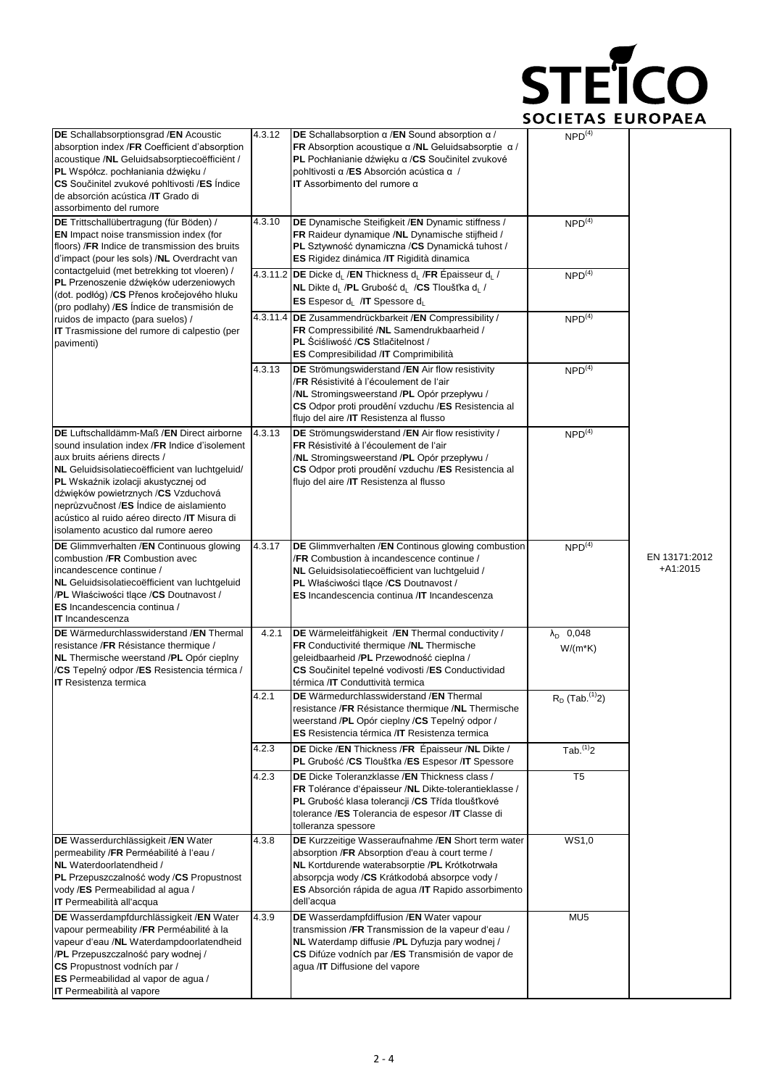

| DE Schallabsorptionsgrad /EN Acoustic<br>absorption index /FR Coefficient d'absorption<br>acoustique /NL Geluidsabsorptiecoëfficient /<br>PL Współcz. pochłaniania dźwięku /<br>CS Součinitel zvukové pohltivosti /ES Indice<br>de absorción acústica / IT Grado di<br>assorbimento del rumore                                                                                                  | 4.3.12 | DE Schallabsorption $\alpha$ /EN Sound absorption $\alpha$ /<br><b>FR</b> Absorption acoustique $\alpha$ / <b>NL</b> Geluidsabsorptie $\alpha$ /<br>PL Pochłanianie dźwięku a /CS Součinitel zvukové<br>pohltivosti α /ES Absorción acústica α /<br><b>IT</b> Assorbimento del rumore $\alpha$ | NPD <sup>(4)</sup>                      |                             |
|-------------------------------------------------------------------------------------------------------------------------------------------------------------------------------------------------------------------------------------------------------------------------------------------------------------------------------------------------------------------------------------------------|--------|------------------------------------------------------------------------------------------------------------------------------------------------------------------------------------------------------------------------------------------------------------------------------------------------|-----------------------------------------|-----------------------------|
| DE Trittschallübertragung (für Böden) /<br><b>EN</b> Impact noise transmission index (for<br>floors) / FR Indice de transmission des bruits<br>d'impact (pour les sols) /NL Overdracht van                                                                                                                                                                                                      | 4.3.10 | DE Dynamische Steifigkeit / EN Dynamic stiffness /<br>FR Raideur dynamique /NL Dynamische stijfheid /<br>PL Sztywność dynamiczna /CS Dynamická tuhost /<br>ES Rigidez dinámica / IT Rigidità dinamica                                                                                          | NPD <sup>(4)</sup>                      |                             |
| contactgeluid (met betrekking tot vloeren) /<br>PL Przenoszenie dźwięków uderzeniowych<br>(dot. podłóg) / CS Přenos kročejového hluku<br>(pro podlahy) /ES Indice de transmisión de                                                                                                                                                                                                             |        | 4.3.11.2 DE Dicke d <sub>i</sub> /EN Thickness d <sub>i</sub> /FR Épaisseur d <sub>i</sub> /<br><b>NL</b> Dikte d <sub>L</sub> / <b>PL</b> Grubość d <sub>L</sub> / <b>CS</b> Tloušťka d <sub>L</sub> /<br><b>ES</b> Espesor $d_L$ /IT Spessore $d_L$                                          | NPD <sup>(4)</sup>                      |                             |
| ruidos de impacto (para suelos) /<br>IT Trasmissione del rumore di calpestio (per<br>pavimenti)                                                                                                                                                                                                                                                                                                 |        | 4.3.11.4 DE Zusammendrückbarkeit / EN Compressibility /<br>FR Compressibilité /NL Samendrukbaarheid /<br><b>PL</b> Sciśliwość /CS Stlačitelnost /<br>ES Compresibilidad /IT Comprimibilità                                                                                                     | NPD <sup>(4)</sup>                      |                             |
|                                                                                                                                                                                                                                                                                                                                                                                                 | 4.3.13 | DE Strömungswiderstand / EN Air flow resistivity<br>/FR Résistivité à l'écoulement de l'air<br>/NL Stromingsweerstand /PL Opór przepływu /<br>CS Odpor proti proudění vzduchu /ES Resistencia al<br>flujo del aire /IT Resistenza al flusso                                                    | NPD <sup>(4)</sup>                      |                             |
| DE Luftschalldämm-Maß / EN Direct airborne<br>sound insulation index /FR Indice d'isolement<br>aux bruits aériens directs /<br>NL Geluidsisolatiecoëfficient van luchtgeluid/<br>PL Wskaźnik izolacji akustycznej od<br>dźwięków powietrznych /CS Vzduchová<br>neprůzvučnost /ES Índice de aislamiento<br>acústico al ruido aéreo directo /IT Misura di<br>isolamento acustico dal rumore aereo | 4.3.13 | DE Strömungswiderstand /EN Air flow resistivity /<br>FR Résistivité à l'écoulement de l'air<br>/NL Stromingsweerstand /PL Opór przepływu /<br>CS Odpor proti proudění vzduchu /ES Resistencia al<br>flujo del aire /IT Resistenza al flusso                                                    | NPD <sup>(4)</sup>                      |                             |
| DE Glimmverhalten /EN Continuous glowing<br>combustion /FR Combustion avec<br>incandescence continue /<br>NL Geluidsisolatiecoëfficient van luchtgeluid<br>/PL Właściwości tlące /CS Doutnavost /<br>ES Incandescencia continua /<br><b>IT</b> Incandescenza                                                                                                                                    | 4.3.17 | <b>DE</b> Glimmverhalten / <b>EN</b> Continous glowing combustion<br>/FR Combustion à incandescence continue /<br>NL Geluidsisolatiecoëfficient van luchtgeluid /<br>PL Właściwości tlące /CS Doutnavost /<br><b>ES</b> Incandescencia continua / IT Incandescenza                             | NPD <sup>(4)</sup>                      | EN 13171:2012<br>$+A1:2015$ |
| DE Wärmedurchlasswiderstand /EN Thermal<br>resistance / FR Résistance thermique /<br>NL Thermische weerstand /PL Opór cieplny<br>/CS Tepelný odpor /ES Resistencia térmica /<br><b>IT</b> Resistenza termica                                                                                                                                                                                    | 4.2.1  | DE Wärmeleitfähigkeit /EN Thermal conductivity /<br>FR Conductivité thermique /NL Thermische<br>geleidbaarheid /PL Przewodność cieplna /<br>CS Součinitel tepelné vodivosti /ES Conductividad<br>térmica /IT Conduttività termica                                                              | $\lambda_{\text{D}}$ 0,048<br>$W/(m*K)$ |                             |
|                                                                                                                                                                                                                                                                                                                                                                                                 | 4.2.1  | DE Wärmedurchlasswiderstand / EN Thermal<br>resistance /FR Résistance thermique /NL Thermische<br>weerstand /PL Opór cieplny /CS Tepelný odpor /<br><b>ES</b> Resistencia térmica / <b>IT</b> Resistenza termica                                                                               | $R_D$ (Tab. $(1)$ <sub>2</sub> )        |                             |
|                                                                                                                                                                                                                                                                                                                                                                                                 | 4.2.3  | DE Dicke / EN Thickness / FR Epaisseur / NL Dikte /<br>PL Grubość /CS Tloušťka /ES Espesor /IT Spessore                                                                                                                                                                                        | $Tab.$ <sup>(1)</sup> 2                 |                             |
|                                                                                                                                                                                                                                                                                                                                                                                                 | 4.2.3  | DE Dicke Toleranzklasse / EN Thickness class /<br>FR Tolérance d'épaisseur /NL Dikte-tolerantieklasse /<br>PL Grubość klasa tolerancji / CS Třída tloušťkové<br>tolerance /ES Tolerancia de espesor /IT Classe di<br>tolleranza spessore                                                       | T <sub>5</sub>                          |                             |
| DE Wasserdurchlässigkeit /EN Water<br>permeability /FR Perméabilité à l'eau /<br>NL Waterdoorlatendheid /<br>PL Przepuszczalność wody /CS Propustnost<br>vody /ES Permeabilidad al agua /<br><b>IT</b> Permeabilità all'acqua                                                                                                                                                                   | 4.3.8  | DE Kurzzeitige Wasseraufnahme /EN Short term water<br>absorption /FR Absorption d'eau à court terme /<br>NL Kortdurende waterabsorptie /PL Krótkotrwała<br>absorpcja wody /CS Krátkodobá absorpce vody /<br>ES Absorción rápida de agua /IT Rapido assorbimento<br>dell'acqua                  | WS1,0                                   |                             |
| DE Wasserdampfdurchlässigkeit /EN Water<br>vapour permeability /FR Perméabilité à la<br>vapeur d'eau /NL Waterdampdoorlatendheid<br>/PL Przepuszczalność pary wodnej /<br>CS Propustnost vodních par /<br>ES Permeabilidad al vapor de agua /<br><b>IT</b> Permeabilità al vapore                                                                                                               | 4.3.9  | DE Wasserdampfdiffusion /EN Water vapour<br>transmission / FR Transmission de la vapeur d'eau /<br>NL Waterdamp diffusie /PL Dyfuzja pary wodnej /<br>CS Difúze vodních par /ES Transmisión de vapor de<br>agua /IT Diffusione del vapore                                                      | MU <sub>5</sub>                         |                             |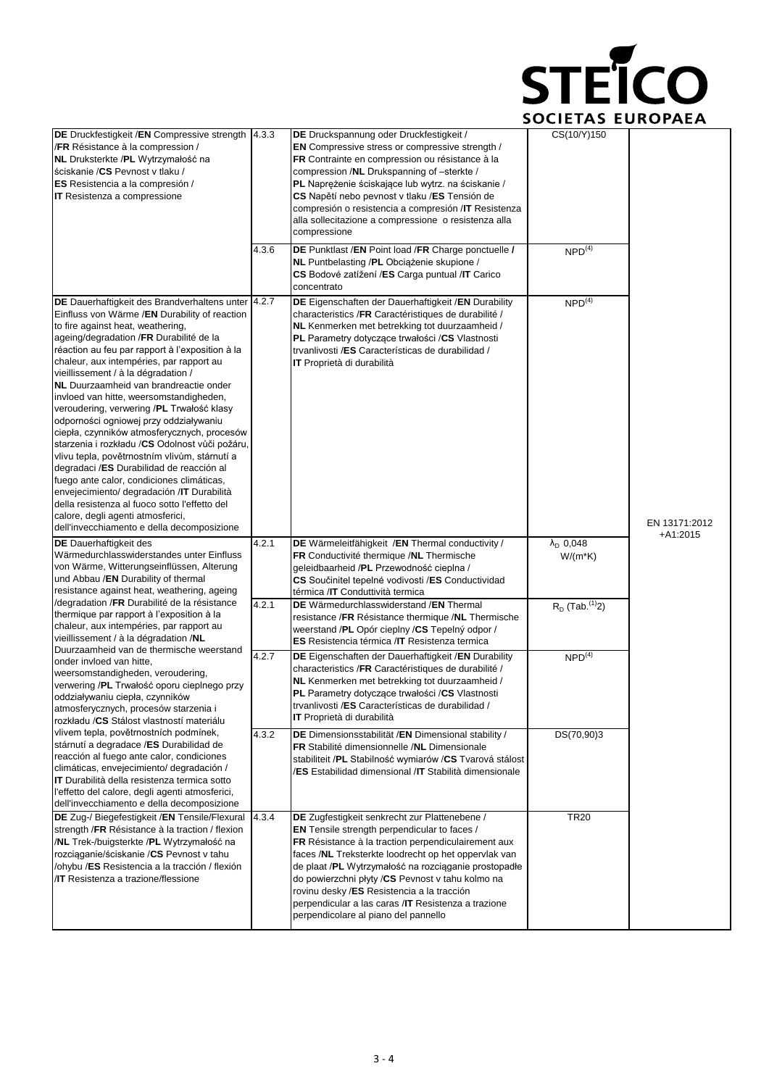

| DE Druckfestigkeit /EN Compressive strength   4.3.3<br>/FR Résistance à la compression /<br>NL Druksterkte /PL Wytrzymałość na<br>ściskanie / CS Pevnost v tlaku /<br>ES Resistencia a la compresión /<br><b>IT</b> Resistenza a compressione                                                                                                                                                                                                                                                                                                                                                                                                                                                                                                                                                                                                                                                                                             |       | DE Druckspannung oder Druckfestigkeit /<br><b>EN</b> Compressive stress or compressive strength /<br>FR Contrainte en compression ou résistance à la<br>compression /NL Drukspanning of -sterkte /<br>PL Naprężenie ściskające lub wytrz. na ściskanie /<br>CS Napětí nebo pevnost v tlaku /ES Tensión de<br>compresión o resistencia a compresión /IT Resistenza<br>alla sollecitazione a compressione o resistenza alla<br>compressione                                    | CS(10/Y)150                          |                             |  |
|-------------------------------------------------------------------------------------------------------------------------------------------------------------------------------------------------------------------------------------------------------------------------------------------------------------------------------------------------------------------------------------------------------------------------------------------------------------------------------------------------------------------------------------------------------------------------------------------------------------------------------------------------------------------------------------------------------------------------------------------------------------------------------------------------------------------------------------------------------------------------------------------------------------------------------------------|-------|------------------------------------------------------------------------------------------------------------------------------------------------------------------------------------------------------------------------------------------------------------------------------------------------------------------------------------------------------------------------------------------------------------------------------------------------------------------------------|--------------------------------------|-----------------------------|--|
|                                                                                                                                                                                                                                                                                                                                                                                                                                                                                                                                                                                                                                                                                                                                                                                                                                                                                                                                           | 4.3.6 | DE Punktlast /EN Point load /FR Charge ponctuelle /<br>NL Puntbelasting /PL Obciążenie skupione /<br>CS Bodové zatížení /ES Carga puntual /IT Carico<br>concentrato                                                                                                                                                                                                                                                                                                          | NPD <sup>(4)</sup>                   |                             |  |
| DE Dauerhaftigkeit des Brandverhaltens unter 4.2.7<br>Einfluss von Wärme /EN Durability of reaction<br>to fire against heat, weathering,<br>ageing/degradation /FR Durabilité de la<br>réaction au feu par rapport à l'exposition à la<br>chaleur, aux intempéries, par rapport au<br>vieillissement / à la dégradation /<br><b>NL</b> Duurzaamheid van brandreactie onder<br>invloed van hitte, weersomstandigheden,<br>veroudering, verwering /PL Trwałość klasy<br>odporności ogniowej przy oddziaływaniu<br>ciepła, czynników atmosferycznych, procesów<br>starzenia i rozkładu /CS Odolnost vůči požáru,<br>vlivu tepla, povětrnostním vlivům, stárnutí a<br>degradaci /ES Durabilidad de reacción al<br>fuego ante calor, condiciones climáticas,<br>envejecimiento/ degradación /IT Durabilità<br>della resistenza al fuoco sotto l'effetto del<br>calore, degli agenti atmosferici,<br>dell'invecchiamento e della decomposizione |       | DE Eigenschaften der Dauerhaftigkeit / EN Durability<br>characteristics /FR Caractéristiques de durabilité /<br>NL Kenmerken met betrekking tot duurzaamheid /<br><b>PL</b> Parametry dotyczące trwałości /CS Vlastnosti<br>trvanlivosti /ES Características de durabilidad /<br><b>IT</b> Proprietà di durabilità                                                                                                                                                           | NPD <sup>(4)</sup>                   | EN 13171:2012<br>$+A1:2015$ |  |
| <b>DE</b> Dauerhaftigkeit des<br>Wärmedurchlasswiderstandes unter Einfluss<br>von Wärme, Witterungseinflüssen, Alterung<br>und Abbau /EN Durability of thermal<br>resistance against heat, weathering, ageing                                                                                                                                                                                                                                                                                                                                                                                                                                                                                                                                                                                                                                                                                                                             | 4.2.1 | DE Wärmeleitfähigkeit /EN Thermal conductivity /<br>FR Conductivité thermique /NL Thermische<br>geleidbaarheid / <b>PL</b> Przewodność cieplna /<br>CS Součinitel tepelné vodivosti /ES Conductividad<br>térmica /IT Conduttività termica                                                                                                                                                                                                                                    | $\lambda_{\rm D}$ 0,048<br>$W/(m*K)$ |                             |  |
| /degradation / FR Durabilité de la résistance<br>thermique par rapport à l'exposition à la<br>chaleur, aux intempéries, par rapport au<br>vieillissement / à la dégradation /NL                                                                                                                                                                                                                                                                                                                                                                                                                                                                                                                                                                                                                                                                                                                                                           | 4.2.1 | <b>DE</b> Wärmedurchlasswiderstand /EN Thermal<br>resistance /FR Résistance thermique /NL Thermische<br>weerstand /PL Opór cieplny /CS Tepelný odpor /<br><b>ES</b> Resistencia térmica / <b>IT</b> Resistenza termica                                                                                                                                                                                                                                                       | $R_D$ (Tab. <sup>(1)</sup> 2)        |                             |  |
| Duurzaamheid van de thermische weerstand<br>onder invloed van hitte.<br>weersomstandigheden, veroudering,<br>verwering /PL Trwałość oporu cieplnego przy<br>oddziaływaniu ciepła, czynników<br>atmosferycznych, procesów starzenia i<br>rozkładu /CS Stálost vlastností materiálu                                                                                                                                                                                                                                                                                                                                                                                                                                                                                                                                                                                                                                                         | 4.2.7 | <b>DE</b> Eigenschaften der Dauerhaftigkeit / <b>EN</b> Durability<br>characteristics /FR Caractéristiques de durabilité /<br>NL Kenmerken met betrekking tot duurzaamheid /<br>PL Parametry dotyczące trwałości /CS Vlastnosti<br>trvanlivosti /ES Características de durabilidad /<br><b>IT</b> Proprietà di durabilità                                                                                                                                                    | NPD <sup>(4)</sup>                   |                             |  |
| vlivem tepla, povětrnostních podmínek,<br>stárnutí a degradace /ES Durabilidad de<br>reacción al fuego ante calor, condiciones<br>climáticas, envejecimiento/ degradación /<br><b>IT</b> Durabilità della resistenza termica sotto<br>l'effetto del calore, degli agenti atmosferici,<br>dell'invecchiamento e della decomposizione                                                                                                                                                                                                                                                                                                                                                                                                                                                                                                                                                                                                       | 4.3.2 | DE Dimensionsstabilität /EN Dimensional stability /<br>FR Stabilité dimensionnelle /NL Dimensionale<br>stabiliteit /PL Stabilność wymiarów /CS Tvarová stálost<br>/ES Estabilidad dimensional /IT Stabilità dimensionale                                                                                                                                                                                                                                                     | DS(70,90)3                           |                             |  |
| DE Zug-/ Biegefestigkeit /EN Tensile/Flexural<br>strength /FR Résistance à la traction / flexion<br>/NL Trek-/buigsterkte /PL Wytrzymałość na<br>rozciąganie/ściskanie /CS Pevnost v tahu<br>/ohybu /ES Resistencia a la tracción / flexión<br><b>IT</b> Resistenza a trazione/flessione                                                                                                                                                                                                                                                                                                                                                                                                                                                                                                                                                                                                                                                  | 4.3.4 | DE Zugfestigkeit senkrecht zur Plattenebene /<br><b>EN</b> Tensile strength perpendicular to faces /<br>FR Résistance à la traction perpendiculairement aux<br>faces /NL Treksterkte loodrecht op het oppervlak van<br>de plaat /PL Wytrzymałość na rozciąganie prostopadłe<br>do powierzchni płyty /CS Pevnost v tahu kolmo na<br>rovinu desky /ES Resistencia a la tracción<br>perpendicular a las caras /IT Resistenza a trazione<br>perpendicolare al piano del pannello | <b>TR20</b>                          |                             |  |